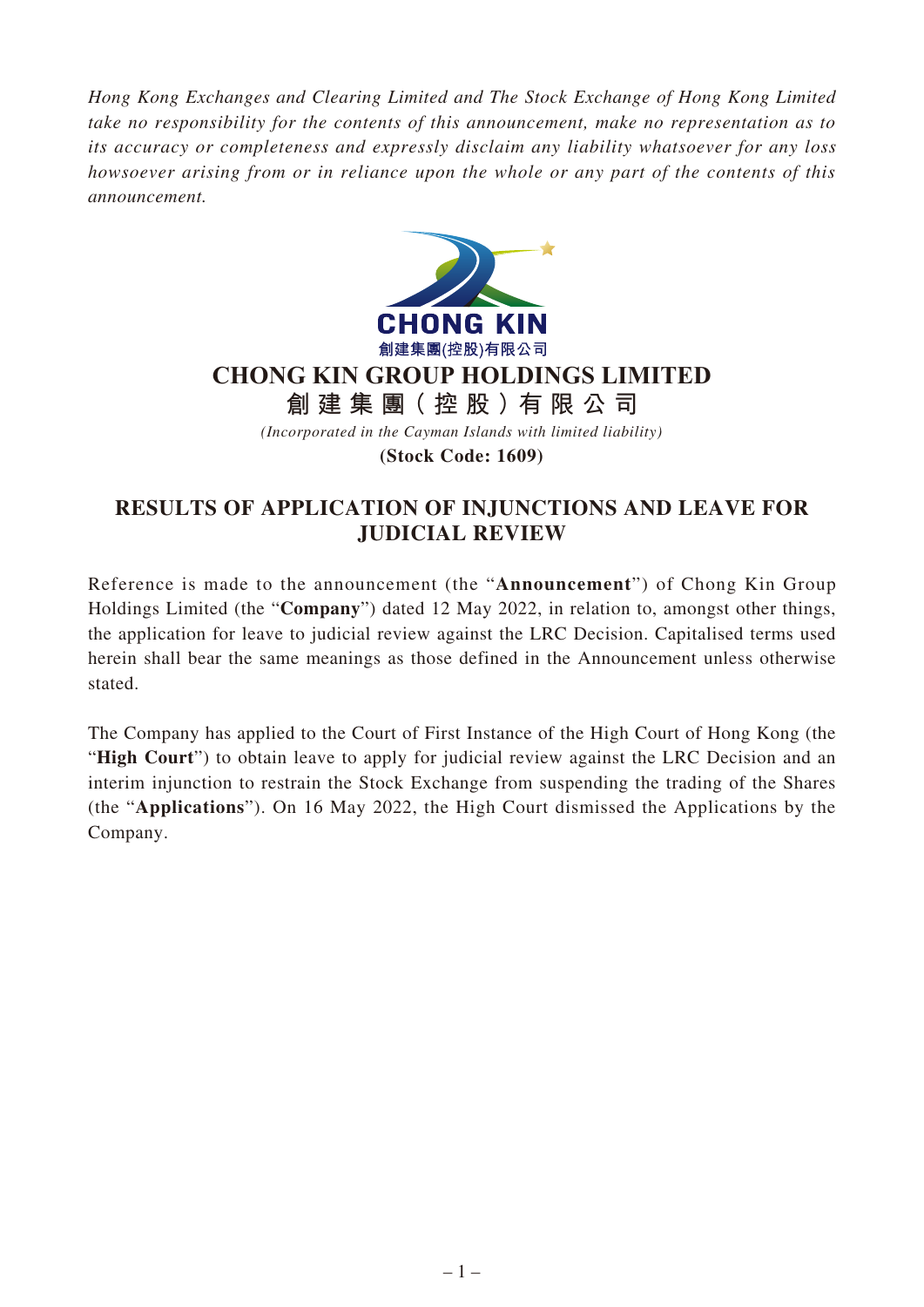*Hong Kong Exchanges and Clearing Limited and The Stock Exchange of Hong Kong Limited take no responsibility for the contents of this announcement, make no representation as to its accuracy or completeness and expressly disclaim any liability whatsoever for any loss howsoever arising from or in reliance upon the whole or any part of the contents of this announcement.*



## **CHONG KIN GROUP HOLDINGS LIMITED**

**創建集團(控股)有限公司**

*(Incorporated in the Cayman Islands with limited liability)*

**(Stock Code: 1609)**

## **RESULTS OF APPLICATION OF INJUNCTIONS AND LEAVE FOR JUDICIAL REVIEW**

Reference is made to the announcement (the "**Announcement**") of Chong Kin Group Holdings Limited (the "**Company**") dated 12 May 2022, in relation to, amongst other things, the application for leave to judicial review against the LRC Decision. Capitalised terms used herein shall bear the same meanings as those defined in the Announcement unless otherwise stated.

The Company has applied to the Court of First Instance of the High Court of Hong Kong (the "**High Court**") to obtain leave to apply for judicial review against the LRC Decision and an interim injunction to restrain the Stock Exchange from suspending the trading of the Shares (the "**Applications**"). On 16 May 2022, the High Court dismissed the Applications by the Company.